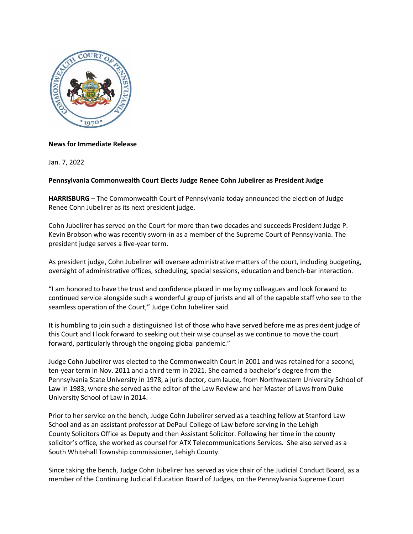

## **News for Immediate Release**

Jan. 7, 2022

## **Pennsylvania Commonwealth Court Elects Judge Renee Cohn Jubelirer as President Judge**

**HARRISBURG** – The Commonwealth Court of Pennsylvania today announced the election of Judge Renee Cohn Jubelirer as its next president judge.

Cohn Jubelirer has served on the Court for more than two decades and succeeds President Judge P. Kevin Brobson who was recently sworn-in as a member of the Supreme Court of Pennsylvania. The president judge serves a five-year term.

As president judge, Cohn Jubelirer will oversee administrative matters of the court, including budgeting, oversight of administrative offices, scheduling, special sessions, education and bench-bar interaction.

"I am honored to have the trust and confidence placed in me by my colleagues and look forward to continued service alongside such a wonderful group of jurists and all of the capable staff who see to the seamless operation of the Court," Judge Cohn Jubelirer said.

It is humbling to join such a distinguished list of those who have served before me as president judge of this Court and I look forward to seeking out their wise counsel as we continue to move the court forward, particularly through the ongoing global pandemic."

Judge Cohn Jubelirer was elected to the Commonwealth Court in 2001 and was retained for a second, ten-year term in Nov. 2011 and a third term in 2021. She earned a bachelor's degree from the Pennsylvania State University in 1978, a juris doctor*,* cum laude*,* from Northwestern University School of Law in 1983, where she served as the editor of the Law Review and her Master of Laws from Duke University School of Law in 2014.

Prior to her service on the bench, Judge Cohn Jubelirer served as a teaching fellow at Stanford Law School and as an assistant professor at DePaul College of Law before serving in the Lehigh County Solicitors Office as Deputy and then Assistant Solicitor. Following her time in the county solicitor's office, she worked as counsel for ATX Telecommunications Services. She also served as a South Whitehall Township commissioner, Lehigh County.

Since taking the bench, Judge Cohn Jubelirer has served as vice chair of the Judicial Conduct Board, as a member of the Continuing Judicial Education Board of Judges, on the Pennsylvania Supreme Court